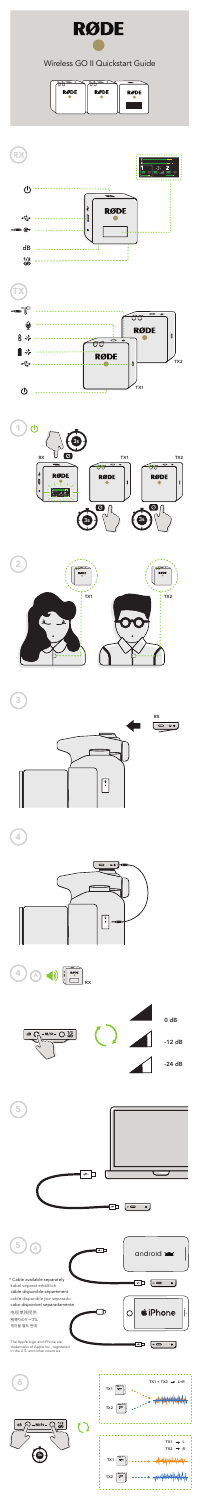

# Wireless GO II Quickstart Guide

| <b>RØDE</b> | <b>RØDE</b> | <b>RØDE</b> |
|-------------|-------------|-------------|
|             |             |             |
|             |             |             |











 $\bullet$   $\bullet$ 

The Apple logo and iPhone are trademarks of Apple Inc., registered in the U.S. and other countries